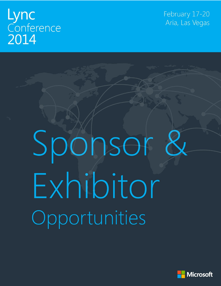# Lync Conference 2014

February 17-20 Aria, Las Vegas

# Sponsor & Exhibitor Opportunities

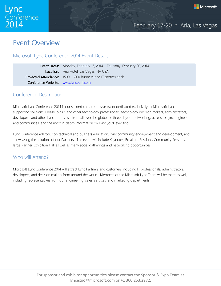

# Event Overview

# Microsoft Lync Conference 2014 Event Details

|                                      | <b>Event Dates:</b> Monday, February 17, 2014 – Thursday, February 20, 2014 |
|--------------------------------------|-----------------------------------------------------------------------------|
|                                      | Location: Aria Hotel, Las Vegas, NV USA                                     |
|                                      | <b>Projected Attendance:</b> 1500 - 1800 business and IT professionals      |
| Conference Website: www.lyncconf.com |                                                                             |

# Conference Description

Microsoft Lync Conference 2014 is our second comprehensive event dedicated exclusively to Microsoft Lync and supporting solutions. Please join us and other technology professionals, technology decision makers, administrators, developers, and other Lync enthusiasts from all over the globe for three days of networking, access to Lync engineers and communities, and the most in-depth information on Lync you'll ever find.

Lync Conference will focus on technical and business education, Lync community engagement and development, and showcasing the solutions of our Partners. The event will include Keynotes, Breakout Sessions, Community Sessions, a large Partner Exhibition Hall as well as many social gatherings and networking opportunities.

# Who will Attend?

Microsoft Lync Conference 2014 will attract Lync Partners and customers including IT professionals, administrators, developers, and decision makers from around the world. Members of the Microsoft Lync Team will be there as well, including representatives from our engineering, sales, services, and marketing departments.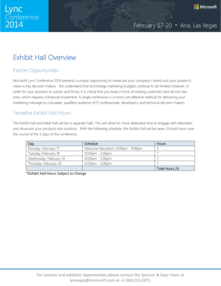

# Exhibit Hall Overview

# Partner Opportunities

Microsoft Lync Conference 2014 presents a unique opportunity to showcase your company's brand and your product's value to key decision makers. We understand that technology marketing budgets continue to be limited; however, in order for your business to sustain and thrive, it is critical that you keep in front of existing customers and recruit new ones, which requires a financial investment. A single conference is a more cost effective method for delivering your marketing message to a broader, qualified audience of IT professionals, developers, and technical decision makers.

# Tentative Exhibit Hall Hours

The Exhibit Hall and Meal Hall will be in separate halls. This will allow for more dedicated time to engage with attendees and showcase your products and solutions. With the following schedule, the Exhibit Hall will be open 24 total hours over the course of the 3 days of the conference.

| Day                    | Schedule                           | <b>Hours</b>   |
|------------------------|------------------------------------|----------------|
| Monday, February 17    | Welcome Reception: 6:00pm - 9:00pm |                |
| Tuesday, February 18   | $10:00am - 5:00pm$                 |                |
| Wednesday, February 19 | $10:00am - 5:00pm$                 |                |
| Thursday, February 20  | $10:00am - 5:00pm$                 |                |
|                        |                                    | Total Hours 24 |

*\*Exhibit Hall Hours Subject to Change*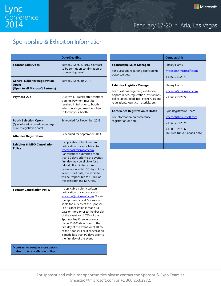# Sponsorship & Exhibition Information

|                                                                                                | <b>Date/Deadline</b>                                                                                                                                                                                                                                                                                                                                                                                                                                                                                     |  |  |  |
|------------------------------------------------------------------------------------------------|----------------------------------------------------------------------------------------------------------------------------------------------------------------------------------------------------------------------------------------------------------------------------------------------------------------------------------------------------------------------------------------------------------------------------------------------------------------------------------------------------------|--|--|--|
| <b>Sponsor Sales Open</b>                                                                      | Tuesday, Sept. 3, 2013. Contract<br>to be sent upon confirmation of<br>sponsorship level                                                                                                                                                                                                                                                                                                                                                                                                                 |  |  |  |
| <b>General Exhibitor Registration</b><br><b>Opens</b><br>(Open to all Microsoft Partners)      | Tuesday, Sept. 10, 2013                                                                                                                                                                                                                                                                                                                                                                                                                                                                                  |  |  |  |
| <b>Payment Due</b>                                                                             | Due two (2) weeks after contract<br>signing. Payment must be<br>received in full prior to booth<br>selection, or you may be subject<br>to forfeit your booth.                                                                                                                                                                                                                                                                                                                                            |  |  |  |
| <b>Booth Selection Opens</b><br>(Queue location based on package<br>price & registration date) | Scheduled for November 2013                                                                                                                                                                                                                                                                                                                                                                                                                                                                              |  |  |  |
| <b>Attendee Registration</b>                                                                   | Scheduled for September 2013                                                                                                                                                                                                                                                                                                                                                                                                                                                                             |  |  |  |
| <b>Exhibitor &amp; MPO Cancellation</b><br><b>Policy</b>                                       | If applicable, submit written<br>notification of cancellation to<br>lyncexpo@microsoft.com.<br>Cancellations submitted more<br>than 30 days prior to the event's<br>first day may be eligible for a<br>refund. If exhibitor submits<br>cancellation within 30 days of the<br>event's start date, the exhibitor<br>will be responsible for 100% of<br>the exhibitor and MPO fee.                                                                                                                          |  |  |  |
| <b>Sponsor Cancellation Policy</b>                                                             | If applicable, submit written<br>notification of cancelation to<br>lyncexpo@microsoft.com. Should<br>the Sponsor cancel, Sponsor is<br>liable for: a) 50% of the Sponsor<br>Fee if cancellation is made 181<br>days or more prior to the first day<br>of the event, or b) 75% of the<br>Sponsor Fee if cancellation is<br>made 91-180 days prior to the<br>first day of the event, or c) 100%<br>of the Sponsor Fee if cancellation<br>is made less than 90 days prior to<br>the first day of the event. |  |  |  |
| *contract to contain more details<br>about the cancellation policy                             |                                                                                                                                                                                                                                                                                                                                                                                                                                                                                                          |  |  |  |

|                                                                                                                                                                                                              | <b>Contact/Link</b>                                                                                                    |  |  |
|--------------------------------------------------------------------------------------------------------------------------------------------------------------------------------------------------------------|------------------------------------------------------------------------------------------------------------------------|--|--|
| <b>Sponsorship Sales Manager:</b><br>For questions regarding sponsorship<br>opportunities.                                                                                                                   | Chrissy Harris<br>lyncexpo@microsoft.com<br>+1.360.253.2972                                                            |  |  |
| <b>Exhibitor Logistics Manager:</b><br>For questions regarding exhibition<br>opportunities, registration instructions,<br>deliverables, deadlines, event rules and<br>regulations, logistics materials, etc. | Chrissy Harris<br><u>lyncexpo@microsoft.com</u><br>+1.360.253.2972                                                     |  |  |
| <b>Conference Registration &amp; Hotel:</b><br>For information on conference<br>registration or hotel.                                                                                                       | Lync Registration Team<br>lyncconf@microsoft.com<br>+1.360.253.2971<br>+1.800.528.1668<br>Toll Free (US & Canada only) |  |  |
|                                                                                                                                                                                                              |                                                                                                                        |  |  |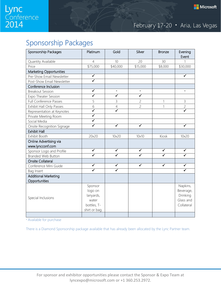# Sponsorship Packages

| Sponsorship Packages           | Platinum                                                                 | Gold                    | Silver                  | <b>Bronze</b> | Evening<br>Event                                             |
|--------------------------------|--------------------------------------------------------------------------|-------------------------|-------------------------|---------------|--------------------------------------------------------------|
| Quantity Available             | $\overline{4}$                                                           | 10 <sup>10</sup>        | 20                      | 30            | $\mathbf{1}$                                                 |
| Price                          | \$75,000                                                                 | \$40,000                | \$15,000                | \$8,000       | \$30,000                                                     |
| <b>Marketing Opportunities</b> |                                                                          |                         |                         |               |                                                              |
| Pre-Show Email Newsletter      | $\overline{\checkmark}$                                                  |                         |                         |               | $\overline{\checkmark}$                                      |
| Post-Show Email Newsletter     | $\overline{\checkmark}$                                                  |                         |                         |               |                                                              |
| Conference Inclusion           |                                                                          |                         |                         |               |                                                              |
| <b>Breakout Session</b>        | $\blacktriangledown$                                                     | $\star$                 | $\star$                 |               | $\star$                                                      |
| Expo Theater Session           | $\overline{\checkmark}$                                                  | ✓                       | $\checkmark$            |               |                                                              |
| Full Conference Passes         | 5                                                                        | 3                       | $\mathfrak{C}$          | 1             | 3                                                            |
| Exhibit Hall Only Passes       | 6                                                                        | $\overline{4}$          | $\overline{c}$          | 1             | $\overline{c}$                                               |
| Representation at Keynotes     | $\overline{\checkmark}$                                                  | $\overline{\checkmark}$ |                         |               | $\overline{\checkmark}$                                      |
| Private Meeting Room           | $\overline{\checkmark}$                                                  |                         |                         |               |                                                              |
| Social Media                   | $\checkmark$                                                             |                         |                         |               |                                                              |
| Onsite Recognition Signage     | ✓                                                                        | $\overline{\checkmark}$ | ✓                       |               | ✓                                                            |
| <b>Exhibit Hall</b>            |                                                                          |                         |                         |               |                                                              |
| Exhibit Booth                  | 20x20                                                                    | 10x20                   | 10x10                   | Kiosk         | 10x20                                                        |
| Online Advertising via         |                                                                          |                         |                         |               |                                                              |
| www.lyncconf.com               |                                                                          |                         |                         |               |                                                              |
| Sponsor Logo and Profile       | ✓                                                                        | ✓                       | ✓                       | ✓             | ✓                                                            |
| <b>Branded Web Button</b>      | $\overline{\checkmark}$                                                  | ✓                       | $\overline{\checkmark}$ | ✓             | $\overline{\checkmark}$                                      |
| Onsite Collateral              |                                                                          |                         |                         |               |                                                              |
| Conference Mini Guide          | $\blacktriangledown$                                                     | $\blacktriangledown$    | $\blacktriangledown$    | ✓             | ✓                                                            |
| Bag Insert                     | ✓                                                                        | $\overline{\checkmark}$ |                         |               | $\overline{\checkmark}$                                      |
| <b>Additional Marketing</b>    |                                                                          |                         |                         |               |                                                              |
| Opportunities                  |                                                                          |                         |                         |               |                                                              |
| Special Inclusions             | Sponsor<br>logo on<br>lanyards,<br>water<br>bottles, T-<br>shirt or bag. |                         |                         |               | Napkins,<br>Beverage,<br>Drinking<br>Glass and<br>Collateral |
|                                |                                                                          |                         |                         |               |                                                              |

\* Available for purchase

There is a Diamond Sponsorship package available that has already been allocated by the Lync Partner team.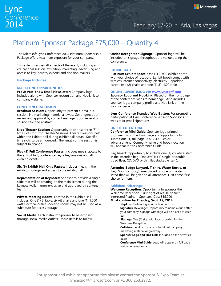# Platinum Sponsor Package \$75,000 – Quantity 4

The Microsoft Lync Conference 2014 Platinum Sponsorship Package offers maximum exposure for your company.

This extends across all aspects of the event, including an educational session, exhibition, marketing, advertising and access to key industry experts and decision makers.

### **Package Includes:**

### **MARKETING OPPORTUNITIES**

**Pre & Post-Show Email Newsletter:** Company logo included along with Sponsor recognition and Hot-Link to company website.

### **CONFERENCE INCLUSION**

**Breakout Session:** Opportunity to present a breakout session. No marketing material allowed. Contingent upon review and approval by content manager upon receipt of session title and abstract.

**Expo Theater Session:** Opportunity to choose three (3) time slots for Expo Theater Sessions. Theater Sessions held within the Exhibit Hall during exhibit hall hours. Specific time slots to be announced. The length of the session is subject to change.

**Five (5) Full Conference Passes:** Includes meals, access to the exhibit hall, conference keynotes/sessions and all evening events.

**Six (6) Exhibit Hall Only Passes:** Includes meals in the exhibitor lounge and access to the exhibit hall.

**Representation at Keynotes:** Sponsor to provide a single slide that will be rotating on the main screen during the keynote walk in (non-exclusive and approved by content team).

**Private Meeting Room:** Located in the Exhibit Hall includes: One (1) 8' table, six (6) chairs and one (1) 1,000 watt electrical outlet. Meeting rooms may not be used as a substitute for access storage.

**Social Media:** Each Platinum Sponsor to be exposed through social media outlets. More details to follow. **Onsite Recognition Signage:** Sponsor logo will be included on signage throughout the venue during the conference.

### **EXHIBIT HALL**

**Platinum Exhibit Space:** One (1) 20x20 exhibit booth with your choice of location. Exhibit booth comes with wireless internet connectivity, electricity, unpadded carpet, two (2) chairs and one (1) 8' x 30" table.

**ONLINE ADVERTISING VIA [www.lyncconf.com](http://www.lyncconf.com/)** 

**Sponsor Logo and Hot-Link:** Placed on the front page of the conference website homepage. Also includes sponsor logo, company profile and Hot-Link on the sponsor page.

**Lync Conference Branded Web Button:** For promoting participation at Lync Conference 2014 on Sponsor's website or email signatures.

### **ONSITE COLLATERAL**

**Conference Mini Guide:** Sponsor logo printed prominently on the front page and opportunity to submit one (1) full page (3.8" x 4.4"), color advertisement. Company name and booth location will appear in the Conference Guide.

**Bag Insert:** Opportunity to include one (1) collateral item in the attendee bag (One 8½" x 11" single or double sided flyer, CD/DVD or thin flat stackable item).

**Attendee Badge Lanyard, T-shirt, Water Bottle, or Bag:** Sponsor logo/name placed on one of the items listed that will be given to all attendees. First come, first choice for item.

### **Additional Offerings:**

**Welcome Reception**: Opportunity to sponsor the Welcome Reception. First right of refusal to first interested Platinum Sponsor. Cost \$15,000 **Must confirm by Tuesday, Sept. 17, 2014**.

**Napkins**: Partner logo printed on napkins. **Signature Beverage:** Opportunity to name a drink after your company. Signage with logo will be placed at each bar.

**Signage:** One (1) sign with logo provided for the Welcome Reception.

**Collateral:** Ability to stage or hand out company marketing material or giveaways.

**Sponsor Logo and Hot-Link**: Included on the activities page.

**Conference Mini Guide**: Logo will appear on full page welcome reception ad.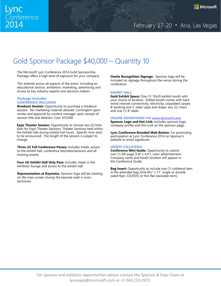# Gold Sponsor Package \$40,000 – Quantity 10

The Microsoft Lync Conference 2014 Gold Sponsorship Package offers a high level of exposure for your company.

This extends across all aspects of the event, including an educational session, exhibition, marketing, advertising and access to key industry experts and decision makers.

### **Package Includes: CONFERENCE INCLUSION**

**Breakout Session:** Opportunity to purchase a breakout session. No marketing material allowed. Contingent upon review and approval by content manager upon receipt of session title and abstract. Cost: \$10,000.

**Expo Theater Session:** Opportunity to choose two (2) time slots for Expo Theater Sessions. Theater Sessions held within the Exhibit Hall during exhibit hall hours. Specific time slots to be announced. The length of the session is subject to change.

**Three (3) Full Conference Passes:** Includes meals, access to the exhibit hall, conference keynotes/sessions and all evening events.

**Four (4) Exhibit Hall Only Pass:** Includes meals in the exhibitor lounge and access to the exhibit hall.

**Representation at Keynotes:** Sponsor logo will be rotating on the main screen during the keynote walk in (nonexclusive).

**Onsite Recognition Signage:** Sponsor logo will be included on signage throughout the venue during the conference.

### **EXHIBIT HALL**

**Gold Exhibit Space:** One (1) 10x20 exhibit booth with your choice of location. Exhibit booth comes with hard wired internet connectivity, electricity, unpadded carpet, 8' backing and 3' sides' pipe and drape, two (2) chairs and one (1) 8' table.

### **ONLINE ADVERTISING VIA [www.lyncconf.com](http://www.lyncconf.com/)**

**Sponsor Logo and Hot-Link:** Includes sponsor logo, company profile and Hot-Link on the sponsor page.

**Lync Conference Branded Web Button:** For promoting participation at Lync Conference 2014 on Sponsor's website or email signatures.

### **ONSITE COLLATERAL**

**Conference Mini Guide:** Opportunity to submit one (1) full page (3.8" x 4.4"), color advertisement. Company name and booth location will appear in the Conference Guide.

**Bag Insert:** Opportunity to include one (1) collateral item in the attendee bag (One 8½" x 11" single or double sided flyer, CD/DVD or thin flat stackable item).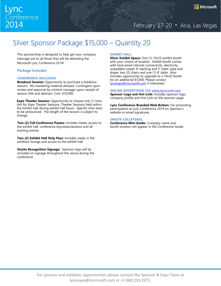# Silver Sponsor Package \$15,000 – Quantity 20

This sponsorship is designed to help get your company message out to all those that will be attending the Microsoft Lync Conference 2014!

### **Package Includes:**

### **CONFERENCE INCLUSION**

**Breakout Session:** Opportunity to purchase a breakout session. No marketing material allowed. Contingent upon review and approval by content manager upon receipt of session title and abstract. Cost: \$10,000.

**Expo Theater Session:** Opportunity to choose one (1) time slot for Expo Theater Sessions. Theater Sessions held within the Exhibit Hall during exhibit hall hours. Specific time slots to be announced. The length of the session is subject to change.

**Two (2) Full Conference Passes:** Includes meals, access to the exhibit hall, conference keynotes/sessions and all evening events.

**Two (2) Exhibit Hall Only Pass:** Includes meals in the exhibitor lounge and access to the exhibit hall.

**Onsite Recognition Signage:** Sponsor logo will be included on signage throughout the venue during the conference.

### **EXHIBIT HALL**

**Silver Exhibit Space:** One (1) 10x10 exhibit booth with your choice of location. Exhibit booth comes with hard wired internet connectivity, electricity, unpadded carpet, 8' backing and 3' sides' pipe and drape, two (2) chairs and one (1) 8' table. Also includes opportunity to upgrade to a 10x20 booth for an additional \$5.000. Please contact [lyncexpo@microsoft.com](mailto:lyncexpo@microsoft.com) if interested.

### **ONLINE ADVERTISING VIA [www.lyncconf.com](http://www.lyncconf.com/)**

**Sponsor Logo and Hot-Link:** Includes sponsor logo, company profile and Hot-Link on the sponsor page.

**Lync Conference Branded Web Button:** For promoting participation at Lync Conference 2014 on Sponsor's website or email signatures.

### **ONSITE COLLATERAL**

**Conference Mini Guide:** Company name and booth location will appear in the Conference Guide.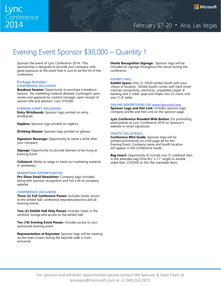# Evening Event Sponsor \$30,000 – Quantity 1

Sponsor the event of Lync Conference 2014! This sponsorship is designed to provide your company with great exposure at the event that is sure to be the hit of the conference.

### **Package Includes: CONFERENCE INCLUSION**

**Breakout Session:** Opportunity to purchase a breakout session. No marketing material allowed. Contingent upon review and approval by content manager upon receipt of session title and abstract. Cost: \$10,000.

### **EVENING EVENT INCLUSION:**

**Entry Wristbands:** Sponsor logo printed on entry wristbands.

**Napkins:** Sponsor logo printed on napkins.

**Drinking Glasses:** Sponsor logo printed on glasses.

**Signature Beverage:** Opportunity to name a drink after your company.

**Signage:** Opportunity to provide banners to be hung at Evening Event.

**Collateral:** Ability to stage or hand out marketing material or giveaways.

### **MARKETING OPPORTUNITIES**

**Pre-Show Email Newsletter:** Company logo included along with sponsor recognition and hot-Link to company website.

### **CONFERENCE INCLUSION**

**Three (3) Full Conference Passes:** Includes meals, access to the exhibit hall, conference keynotes/sessions and all evening events.

**Two (2) Exhibit Hall Only Passes:** Includes meals in the exhibitor lounge and access to the exhibit hall.

**Ten (10) Evening Event Passes:** Includes access to your sponsored evening event.

**Representation at Keynotes:** Sponsor logo will be rotating on the main screen during the keynote walk in (nonexclusive).

**Onsite Recognition Signage:** Sponsor logo will be included on signage throughout the venue during the conference.

### **EXHIBIT HALL**

**Exhibit Space:** One (1) 10x20 exhibit booth with your choice of location. Exhibit booth comes with hard wired internet connectivity, electricity, unpadded carpet, 8' backing and 3' sides' pipe and drape, two (2) chairs and one (1) 8' table.

### **ONLINE ADVERTISING VIA [www.lyncconf.com](http://www.lyncconf.com/)**

**Sponsor Logo and Hot-Link:** Includes sponsor logo, company profile and Hot-Link on the sponsor page.

**Lync Conference Branded Web Button:** For promoting participation at Lync Conference 2014 on Sponsor's website or email signatures.

### **ONSITE COLLATERAL**

**Conference Mini Guide:** Sponsor logo will be printed prominently on a full page ad for the Evening Event. Company name and booth location will appear in the Conference Guide.

**Bag Insert:** Opportunity to include one (1) collateral item in the attendee bag (One 8½" x 11" single or double sided flyer, CD/DVD or thin flat stackable item).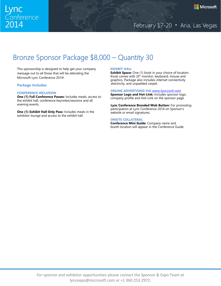# Bronze Sponsor Package \$8,000 – Quantity 30

This sponsorship is designed to help get your company message out to all those that will be attending the Microsoft Lync Conference 2014!

### **Package Includes:**

### **CONFERENCE INCLUSION**

**One (1) Full Conference Passes:** Includes meals, access to the exhibit hall, conference keynotes/sessions and all evening events.

**One (1) Exhibit Hall Only Pass:** Includes meals in the exhibitor lounge and access to the exhibit hall.

### **EXHIBIT HALL**

**Exhibit Space:** One (1) kiosk in your choice of location. Kiosk comes with 20" monitor, keyboard, mouse and graphics. Package also includes internet connectivity electricity, and unpadded carpet.

### **ONLINE ADVERTISING VIA [www.lyncconf.com](http://www.lyncconf.com/)**

**Sponsor Logo and Hot-Link:** Includes sponsor logo, company profile and Hot-Link on the sponsor page.

**Lync Conference Branded Web Button:** For promoting participation at Lync Conference 2014 on Sponsor's website or email signatures.

### **ONSITE COLLATERAL**

**Conference Mini Guide:** Company name and booth location will appear in the Conference Guide.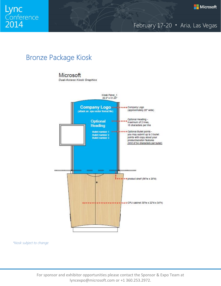

# Bronze Package Kiosk

### Microsoft

Dual-Access Kiosk Graphics



*\*kiosk subject to change*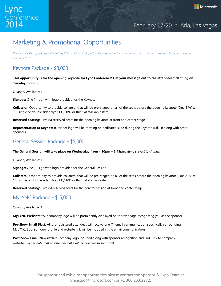# Marketing & Promotional Opportunities

*Please note that "package" Marketing & Promotional Opportunities are limited to one per partner and you must purchase a sponsorship package first.* 

# Keynote Package - \$8,000

**This opportunity is for the opening keynote for Lync Conference! Get your message out to the attendees first thing on Tuesday morning.**

Quantity Available: 1

**Signage:** One (1) sign with logo provided for the Keynote.

**Collateral:** Opportunity to provide collateral that will be pre-staged on all of the seats before the opening keynote (One 8 ½" x 11" single or double sided flyer, CD/DVD or thin flat stackable item).

**Reserved Seating**: Five (5) reserved seats for the opening keynote at front and center stage.

**Representation at Keynotes:** Partner logo will be rotating on dedicated slide during the keynote walk in along with other sponsors.

# General Session Package - \$5,000

### **The General Session will take place on Wednesday from 4:30pm – 5:45pm.** *(time subject to change)*

Quantity Available: 1

**Signage:** One (1) sign with logo provided for the General Session.

**Collateral:** Opportunity to provide collateral that will be pre-staged on all of the seats before the opening keynote (One 8 ½" x 11" single or double sided flyer, CD/DVD or thin flat stackable item).

**Reserved Seating**: Five (5) reserved seats for the general session at front and center stage.

# MyLYNC Package - \$15,000

Quantity Available: 1

**MyLYNC Website:** Your company logo will be prominently displayed on this webpage recognizing you as the sponsor.

**Pre-Show Email Blast:** All pre-registered attendees will receive one (1) email communication specifically surrounding MyLYNC. Sponsor logo, profile and website link will be included in the email communication.

**Post-Show Email Newsletter:** Company logo included along with sponsor recognition and Hot-Link to company website. *(Please note that no attendee data will be released to sponsors).*